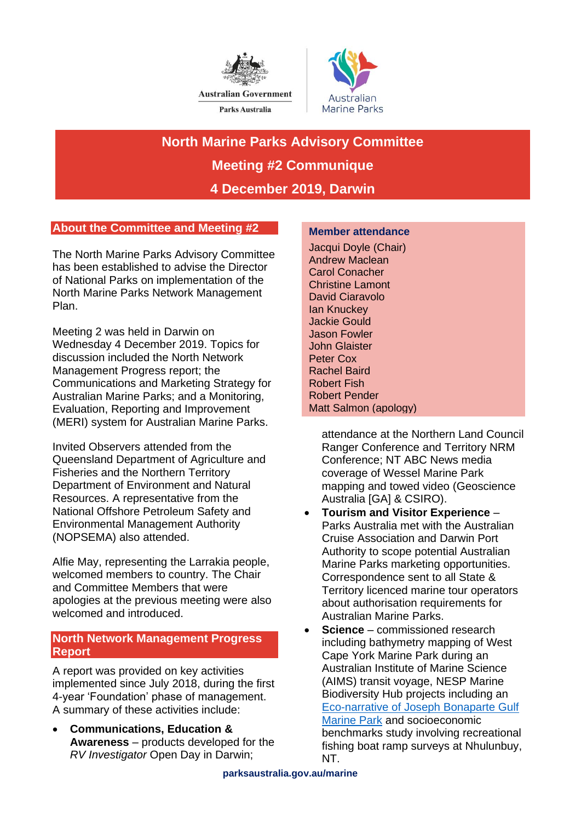



**North Marine Parks Advisory Committee Meeting #2 Communique 4 December 2019, Darwin** 

# **About the Committee and Meeting #2**

The North Marine Parks Advisory Committee has been established to advise the Director of National Parks on implementation of the North Marine Parks Network Management Plan.

Meeting 2 was held in Darwin on Wednesday 4 December 2019. Topics for discussion included the North Network Management Progress report; the Communications and Marketing Strategy for Australian Marine Parks; and a Monitoring, Evaluation, Reporting and Improvement (MERI) system for Australian Marine Parks.

Invited Observers attended from the Queensland Department of Agriculture and Fisheries and the Northern Territory Department of Environment and Natural Resources. A representative from the National Offshore Petroleum Safety and Environmental Management Authority (NOPSEMA) also attended.

Alfie May, representing the Larrakia people, welcomed members to country. The Chair and Committee Members that were apologies at the previous meeting were also welcomed and introduced.

## **North Network Management Progress Report**

A report was provided on key activities implemented since July 2018, during the first 4-year 'Foundation' phase of management. A summary of these activities include:

• **Communications, Education & Awareness** – products developed for the *RV Investigator* Open Day in Darwin;

#### **Member attendance**

Jacqui Doyle (Chair) Andrew Maclean Carol Conacher Christine Lamont David Ciaravolo Ian Knuckey Jackie Gould Jason Fowler John Glaister Peter Cox Rachel Baird Robert Fish Robert Pender Matt Salmon (apology)

attendance at the Northern Land Council Ranger Conference and Territory NRM Conference; NT ABC News media coverage of Wessel Marine Park mapping and towed video (Geoscience Australia [GA] & CSIRO).

- **Tourism and Visitor Experience**  Parks Australia met with the Australian Cruise Association and Darwin Port Authority to scope potential Australian Marine Parks marketing opportunities. Correspondence sent to all State & Territory licenced marine tour operators about authorisation requirements for Australian Marine Parks.
- **Science** commissioned research including bathymetry mapping of West Cape York Marine Park during an Australian Institute of Marine Science (AIMS) transit voyage, NESP Marine Biodiversity Hub projects including an [Eco-narrative of Joseph Bonaparte Gulf](https://atlas.parksaustralia.gov.au/amps/research/JBG-review-of-the-science?rsid=27184&featureId=AMP_N_JBG)  [Marine Park](https://atlas.parksaustralia.gov.au/amps/research/JBG-review-of-the-science?rsid=27184&featureId=AMP_N_JBG) and socioeconomic benchmarks study involving recreational fishing boat ramp surveys at Nhulunbuy, NT.